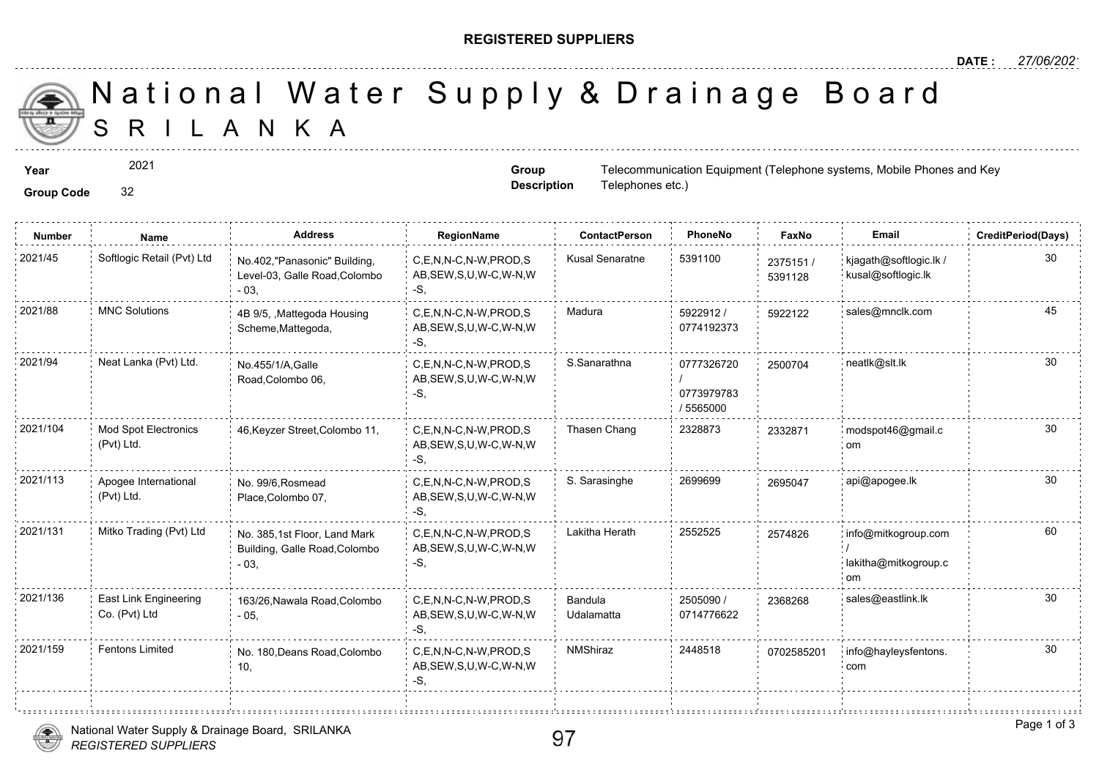## **REGISTERED SUPPLIERS**

**Group Description**

Telephones etc.)

S R I L A N K A National Water Supply & Drainage

**Year** Telecommunication Equipment (Telephone systems) and Mobile Phones and Key Group Telecommunication Equipment (Telephone systems)

2021

## **Group Code** 32

i.

| <b>Number</b> | Name                                      | <b>Address</b>                                                          | RegionName                                                | <b>ContactPerson</b>  | PhoneNo                               | Faxl             |
|---------------|-------------------------------------------|-------------------------------------------------------------------------|-----------------------------------------------------------|-----------------------|---------------------------------------|------------------|
| 2021/45       | Softlogic Retail (Pvt) Ltd                | No.402,"Panasonic" Building,<br>Level-03, Galle Road, Colombo<br>$-03.$ | C,E,N,N-C,N-W,PROD,S<br>AB, SEW, S, U, W-C, W-N, W<br>-S, | Kusal Senaratne       | 5391100                               | 237515<br>539112 |
| 2021/88       | <b>MNC Solutions</b>                      | 4B 9/5, , Mattegoda Housing<br>Scheme, Mattegoda,                       | C,E,N,N-C,N-W,PROD,S<br>AB, SEW, S, U, W-C, W-N, W<br>-S. | Madura                | 5922912/<br>0774192373                | 592212           |
| 2021/94       | Neat Lanka (Pvt) Ltd.                     | No.455/1/A, Galle<br>Road, Colombo 06,                                  | C,E,N,N-C,N-W,PROD,S<br>AB, SEW, S, U, W-C, W-N, W<br>-S. | S.Sanarathna          | 0777326720<br>0773979783<br>/ 5565000 | 250070           |
| 2021/104      | <b>Mod Spot Electronics</b><br>(Pvt) Ltd. | 46, Keyzer Street, Colombo 11,                                          | C.E.N.N-C.N-W.PROD.S<br>AB, SEW, S, U, W-C, W-N, W<br>-S. | Thasen Chang          | 2328873                               | 233287           |
| 2021/113      | Apogee International<br>(Pvt) Ltd.        | No. 99/6, Rosmead<br>Place, Colombo 07,                                 | C.E.N.N-C.N-W.PROD.S<br>AB, SEW, S, U, W-C, W-N, W<br>-S. | S. Sarasinghe         | 2699699                               | 269504           |
| 2021/131      | Mitko Trading (Pvt) Ltd                   | No. 385,1st Floor, Land Mark<br>Building, Galle Road, Colombo<br>$-03,$ | C,E,N,N-C,N-W,PROD,S<br>AB, SEW, S, U, W-C, W-N, W<br>-S, | Lakitha Herath        | 2552525                               | 257482           |
| 2021/136      | East Link Engineering<br>Co. (Pvt) Ltd    | 163/26, Nawala Road, Colombo<br>$-05,$                                  | C,E,N,N-C,N-W,PROD,S<br>AB, SEW, S, U, W-C, W-N, W<br>-S. | Bandula<br>Udalamatta | 2505090 /<br>0714776622               | 236826           |
| 2021/159      | Fentons Limited                           | No. 180, Deans Road, Colombo<br>10,                                     | C,E,N,N-C,N-W,PROD,S<br>AB, SEW, S, U, W-C, W-N, W<br>-S, | <b>NMShiraz</b>       | 2448518                               | 070258           |
|               |                                           |                                                                         |                                                           |                       |                                       |                  |

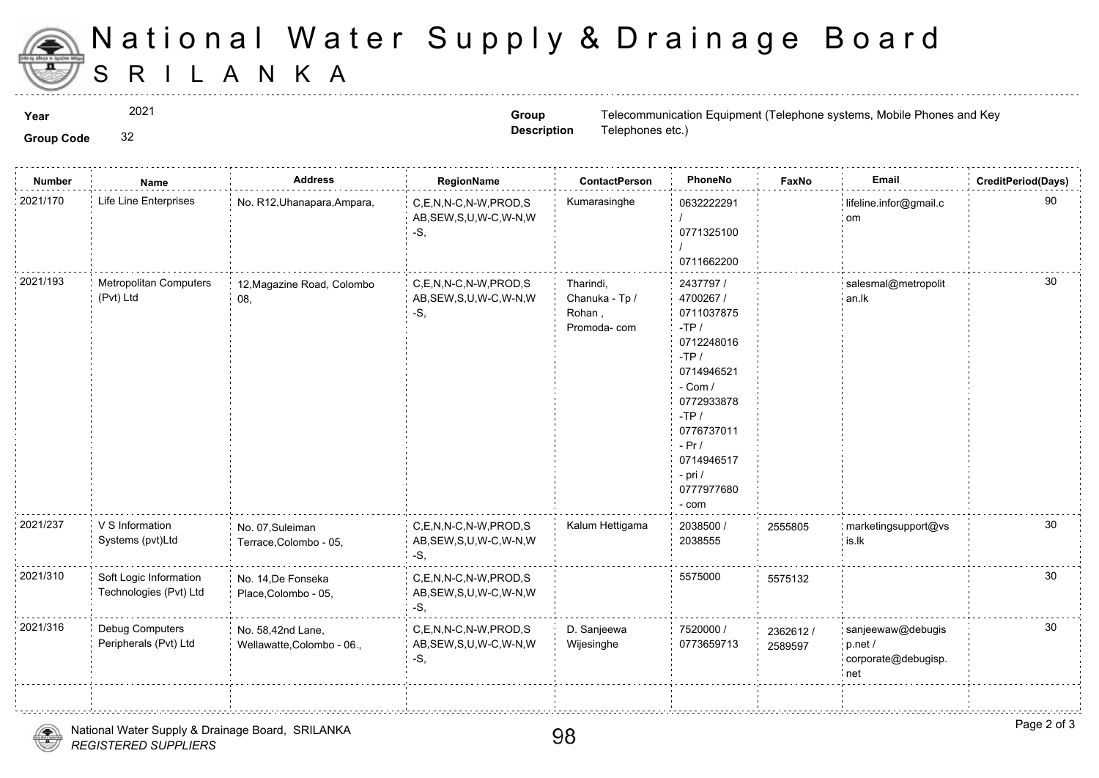

## S R I L A N K A National Water Supply & Drainage

2021

**Group Code** 32

**Group Description**

**Year** Telecommunication Equipment (Telephone systems) and Mobile Phones and Key Group Telecommunication Equipment (Telephone systems) Telephones etc.)

| <b>Number</b> | Name                                             | <b>Address</b>                                  | RegionName                                                  | <b>ContactPerson</b>                                  | PhoneNo                                                                                                                                                                                                 | Fax             |
|---------------|--------------------------------------------------|-------------------------------------------------|-------------------------------------------------------------|-------------------------------------------------------|---------------------------------------------------------------------------------------------------------------------------------------------------------------------------------------------------------|-----------------|
| 2021/170      | Life Line Enterprises                            | No. R12, Uhanapara, Ampara,                     | C,E,N,N-C,N-W,PROD,S<br>AB, SEW, S, U, W-C, W-N, W<br>$-S,$ | Kumarasinghe                                          | 0632222291<br>0771325100<br>0711662200                                                                                                                                                                  |                 |
| 2021/193      | Metropolitan Computers<br>(Pvt) Ltd              | 12, Magazine Road, Colombo<br>08,               | C,E,N,N-C,N-W,PROD,S<br>AB, SEW, S, U, W-C, W-N, W<br>-S,   | Tharindi,<br>Chanuka - Tp /<br>Rohan,<br>Promoda- com | 2437797 /<br>4700267 /<br>0711037875<br>$-TP/$<br>0712248016<br>$-TP/$<br>0714946521<br>$-$ Com $/$<br>0772933878<br>$-TP/$<br>0776737011<br>$-Pr/$<br>0714946517<br>$-$ pri $/$<br>0777977680<br>- com |                 |
| 2021/237      | V S Information<br>Systems (pvt)Ltd              | No. 07, Suleiman<br>Terrace, Colombo - 05,      | C.E.N.N-C.N-W.PROD.S<br>AB, SEW, S, U, W-C, W-N, W<br>$-S,$ | Kalum Hettigama                                       | 2038500 /<br>2038555                                                                                                                                                                                    | 255580          |
| 2021/310      | Soft Logic Information<br>Technologies (Pvt) Ltd | No. 14, De Fonseka<br>Place, Colombo - 05,      | C,E,N,N-C,N-W,PROD,S<br>AB, SEW, S, U, W-C, W-N, W<br>-S,   |                                                       | 5575000                                                                                                                                                                                                 | 557513          |
| 2021/316      | Debug Computers<br>Peripherals (Pvt) Ltd         | No. 58,42nd Lane,<br>Wellawatte, Colombo - 06., | C,E,N,N-C,N-W,PROD,S<br>AB, SEW, S, U, W-C, W-N, W<br>$-S,$ | D. Sanjeewa<br>Wijesinghe                             | 7520000 /<br>0773659713                                                                                                                                                                                 | 23626<br>258959 |
|               |                                                  |                                                 |                                                             |                                                       |                                                                                                                                                                                                         |                 |